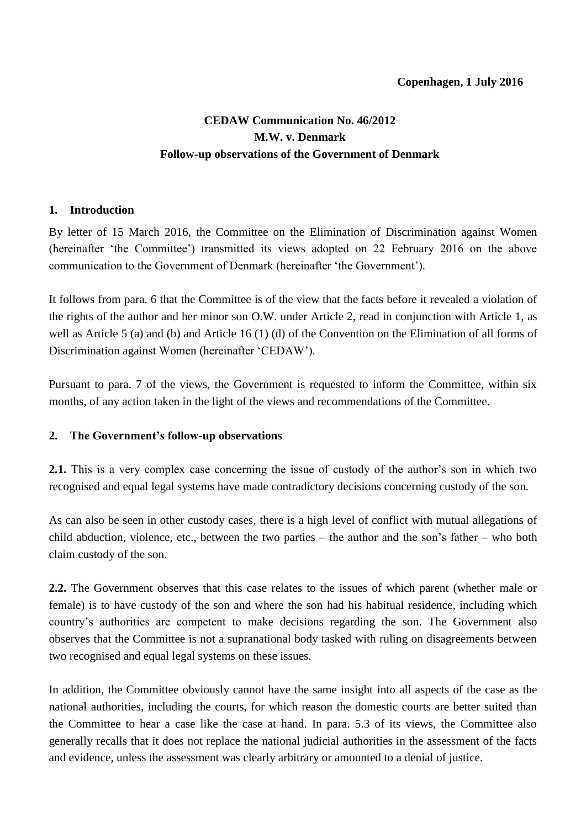## **CEDAW Communication No. 46/2012 M.W. v. Denmark Follow-up observations of the Government of Denmark**

## **1. Introduction**

By letter of 15 March 2016, the Committee on the Elimination of Discrimination against Women (hereinafter 'the Committee') transmitted its views adopted on 22 February 2016 on the above communication to the Government of Denmark (hereinafter 'the Government').

It follows from para. 6 that the Committee is of the view that the facts before it revealed a violation of the rights of the author and her minor son O.W. under Article 2, read in conjunction with Article 1, as well as Article 5 (a) and (b) and Article 16 (1) (d) of the Convention on the Elimination of all forms of Discrimination against Women (hereinafter 'CEDAW').

Pursuant to para. 7 of the views, the Government is requested to inform the Committee, within six months, of any action taken in the light of the views and recommendations of the Committee.

## **2. The Government's follow-up observations**

**2.1.** This is a very complex case concerning the issue of custody of the author's son in which two recognised and equal legal systems have made contradictory decisions concerning custody of the son.

As can also be seen in other custody cases, there is a high level of conflict with mutual allegations of child abduction, violence, etc., between the two parties – the author and the son's father – who both claim custody of the son.

**2.2.** The Government observes that this case relates to the issues of which parent (whether male or female) is to have custody of the son and where the son had his habitual residence, including which country's authorities are competent to make decisions regarding the son. The Government also observes that the Committee is not a supranational body tasked with ruling on disagreements between two recognised and equal legal systems on these issues.

In addition, the Committee obviously cannot have the same insight into all aspects of the case as the national authorities, including the courts, for which reason the domestic courts are better suited than the Committee to hear a case like the case at hand. In para. 5.3 of its views, the Committee also generally recalls that it does not replace the national judicial authorities in the assessment of the facts and evidence, unless the assessment was clearly arbitrary or amounted to a denial of justice.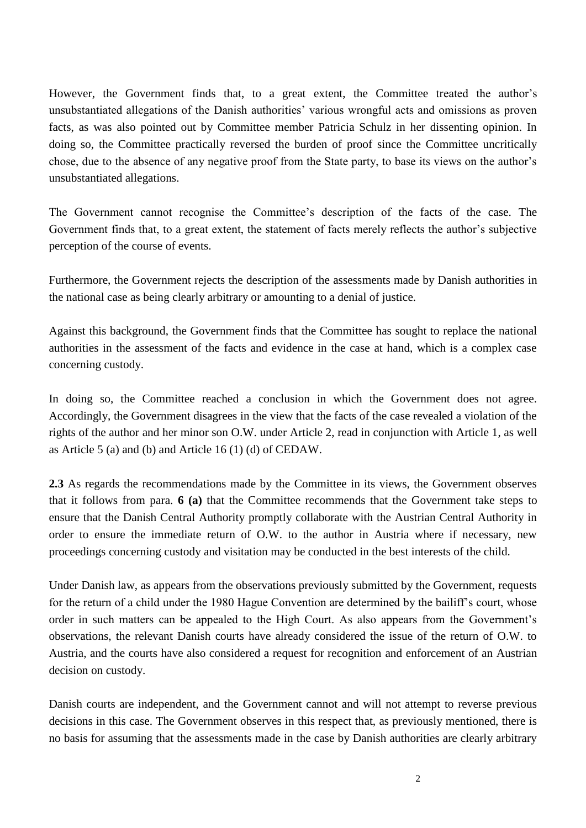However, the Government finds that, to a great extent, the Committee treated the author's unsubstantiated allegations of the Danish authorities' various wrongful acts and omissions as proven facts, as was also pointed out by Committee member Patricia Schulz in her dissenting opinion. In doing so, the Committee practically reversed the burden of proof since the Committee uncritically chose, due to the absence of any negative proof from the State party, to base its views on the author's unsubstantiated allegations.

The Government cannot recognise the Committee's description of the facts of the case. The Government finds that, to a great extent, the statement of facts merely reflects the author's subjective perception of the course of events.

Furthermore, the Government rejects the description of the assessments made by Danish authorities in the national case as being clearly arbitrary or amounting to a denial of justice.

Against this background, the Government finds that the Committee has sought to replace the national authorities in the assessment of the facts and evidence in the case at hand, which is a complex case concerning custody.

In doing so, the Committee reached a conclusion in which the Government does not agree. Accordingly, the Government disagrees in the view that the facts of the case revealed a violation of the rights of the author and her minor son O.W. under Article 2, read in conjunction with Article 1, as well as Article 5 (a) and (b) and Article 16 (1) (d) of CEDAW.

**2.3** As regards the recommendations made by the Committee in its views, the Government observes that it follows from para. **6 (a)** that the Committee recommends that the Government take steps to ensure that the Danish Central Authority promptly collaborate with the Austrian Central Authority in order to ensure the immediate return of O.W. to the author in Austria where if necessary, new proceedings concerning custody and visitation may be conducted in the best interests of the child.

Under Danish law, as appears from the observations previously submitted by the Government, requests for the return of a child under the 1980 Hague Convention are determined by the bailiff's court, whose order in such matters can be appealed to the High Court. As also appears from the Government's observations, the relevant Danish courts have already considered the issue of the return of O.W. to Austria, and the courts have also considered a request for recognition and enforcement of an Austrian decision on custody.

Danish courts are independent, and the Government cannot and will not attempt to reverse previous decisions in this case. The Government observes in this respect that, as previously mentioned, there is no basis for assuming that the assessments made in the case by Danish authorities are clearly arbitrary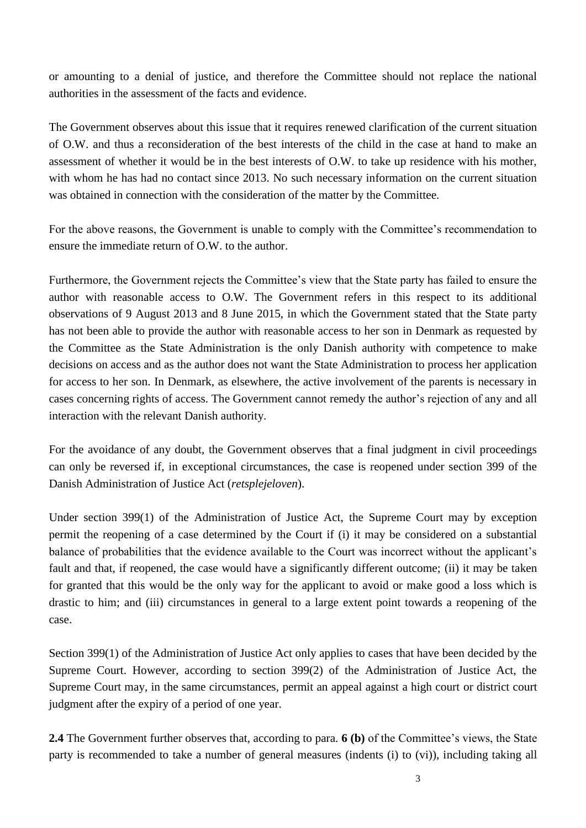or amounting to a denial of justice, and therefore the Committee should not replace the national authorities in the assessment of the facts and evidence.

The Government observes about this issue that it requires renewed clarification of the current situation of O.W. and thus a reconsideration of the best interests of the child in the case at hand to make an assessment of whether it would be in the best interests of O.W. to take up residence with his mother, with whom he has had no contact since 2013. No such necessary information on the current situation was obtained in connection with the consideration of the matter by the Committee.

For the above reasons, the Government is unable to comply with the Committee's recommendation to ensure the immediate return of O.W. to the author.

Furthermore, the Government rejects the Committee's view that the State party has failed to ensure the author with reasonable access to O.W. The Government refers in this respect to its additional observations of 9 August 2013 and 8 June 2015, in which the Government stated that the State party has not been able to provide the author with reasonable access to her son in Denmark as requested by the Committee as the State Administration is the only Danish authority with competence to make decisions on access and as the author does not want the State Administration to process her application for access to her son. In Denmark, as elsewhere, the active involvement of the parents is necessary in cases concerning rights of access. The Government cannot remedy the author's rejection of any and all interaction with the relevant Danish authority.

For the avoidance of any doubt, the Government observes that a final judgment in civil proceedings can only be reversed if, in exceptional circumstances, the case is reopened under section 399 of the Danish Administration of Justice Act (*retsplejeloven*).

Under section 399(1) of the Administration of Justice Act, the Supreme Court may by exception permit the reopening of a case determined by the Court if (i) it may be considered on a substantial balance of probabilities that the evidence available to the Court was incorrect without the applicant's fault and that, if reopened, the case would have a significantly different outcome; (ii) it may be taken for granted that this would be the only way for the applicant to avoid or make good a loss which is drastic to him; and (iii) circumstances in general to a large extent point towards a reopening of the case.

Section 399(1) of the Administration of Justice Act only applies to cases that have been decided by the Supreme Court. However, according to section 399(2) of the Administration of Justice Act, the Supreme Court may, in the same circumstances, permit an appeal against a high court or district court judgment after the expiry of a period of one year.

**2.4** The Government further observes that, according to para. **6 (b)** of the Committee's views, the State party is recommended to take a number of general measures (indents (i) to (vi)), including taking all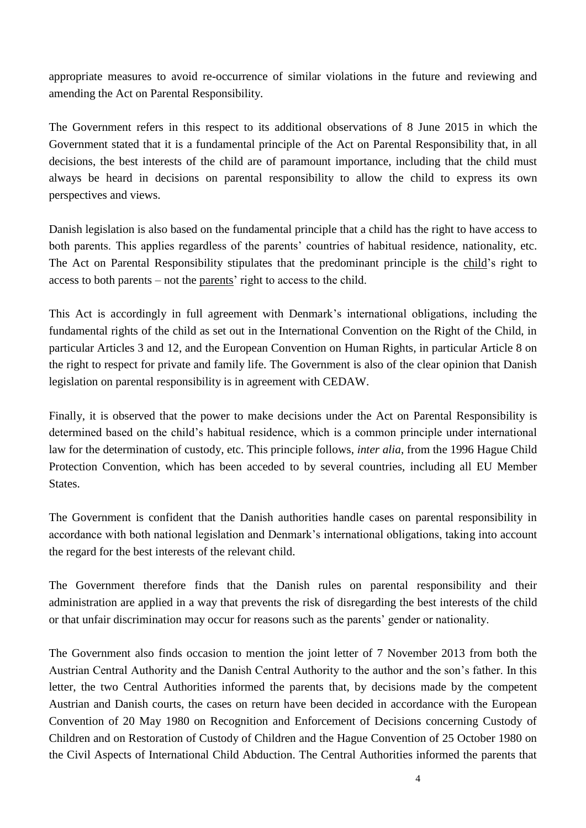appropriate measures to avoid re-occurrence of similar violations in the future and reviewing and amending the Act on Parental Responsibility.

The Government refers in this respect to its additional observations of 8 June 2015 in which the Government stated that it is a fundamental principle of the Act on Parental Responsibility that, in all decisions, the best interests of the child are of paramount importance, including that the child must always be heard in decisions on parental responsibility to allow the child to express its own perspectives and views.

Danish legislation is also based on the fundamental principle that a child has the right to have access to both parents. This applies regardless of the parents' countries of habitual residence, nationality, etc. The Act on Parental Responsibility stipulates that the predominant principle is the child's right to access to both parents – not the parents' right to access to the child.

This Act is accordingly in full agreement with Denmark's international obligations, including the fundamental rights of the child as set out in the International Convention on the Right of the Child, in particular Articles 3 and 12, and the European Convention on Human Rights, in particular Article 8 on the right to respect for private and family life. The Government is also of the clear opinion that Danish legislation on parental responsibility is in agreement with CEDAW.

Finally, it is observed that the power to make decisions under the Act on Parental Responsibility is determined based on the child's habitual residence, which is a common principle under international law for the determination of custody, etc. This principle follows, *inter alia*, from the 1996 Hague Child Protection Convention, which has been acceded to by several countries, including all EU Member **States** 

The Government is confident that the Danish authorities handle cases on parental responsibility in accordance with both national legislation and Denmark's international obligations, taking into account the regard for the best interests of the relevant child.

The Government therefore finds that the Danish rules on parental responsibility and their administration are applied in a way that prevents the risk of disregarding the best interests of the child or that unfair discrimination may occur for reasons such as the parents' gender or nationality.

The Government also finds occasion to mention the joint letter of 7 November 2013 from both the Austrian Central Authority and the Danish Central Authority to the author and the son's father. In this letter, the two Central Authorities informed the parents that, by decisions made by the competent Austrian and Danish courts, the cases on return have been decided in accordance with the European Convention of 20 May 1980 on Recognition and Enforcement of Decisions concerning Custody of Children and on Restoration of Custody of Children and the Hague Convention of 25 October 1980 on the Civil Aspects of International Child Abduction. The Central Authorities informed the parents that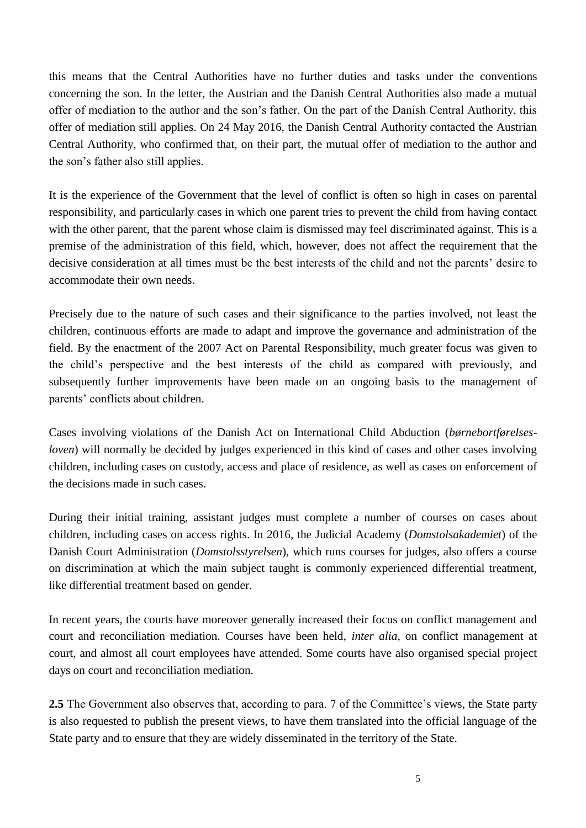this means that the Central Authorities have no further duties and tasks under the conventions concerning the son. In the letter, the Austrian and the Danish Central Authorities also made a mutual offer of mediation to the author and the son's father. On the part of the Danish Central Authority, this offer of mediation still applies. On 24 May 2016, the Danish Central Authority contacted the Austrian Central Authority, who confirmed that, on their part, the mutual offer of mediation to the author and the son's father also still applies.

It is the experience of the Government that the level of conflict is often so high in cases on parental responsibility, and particularly cases in which one parent tries to prevent the child from having contact with the other parent, that the parent whose claim is dismissed may feel discriminated against. This is a premise of the administration of this field, which, however, does not affect the requirement that the decisive consideration at all times must be the best interests of the child and not the parents' desire to accommodate their own needs.

Precisely due to the nature of such cases and their significance to the parties involved, not least the children, continuous efforts are made to adapt and improve the governance and administration of the field. By the enactment of the 2007 Act on Parental Responsibility, much greater focus was given to the child's perspective and the best interests of the child as compared with previously, and subsequently further improvements have been made on an ongoing basis to the management of parents' conflicts about children.

Cases involving violations of the Danish Act on International Child Abduction (*børnebortførelsesloven*) will normally be decided by judges experienced in this kind of cases and other cases involving children, including cases on custody, access and place of residence, as well as cases on enforcement of the decisions made in such cases.

During their initial training, assistant judges must complete a number of courses on cases about children, including cases on access rights. In 2016, the Judicial Academy (*Domstolsakademiet*) of the Danish Court Administration (*Domstolsstyrelsen*), which runs courses for judges, also offers a course on discrimination at which the main subject taught is commonly experienced differential treatment, like differential treatment based on gender.

In recent years, the courts have moreover generally increased their focus on conflict management and court and reconciliation mediation. Courses have been held, *inter alia*, on conflict management at court, and almost all court employees have attended. Some courts have also organised special project days on court and reconciliation mediation.

**2.5** The Government also observes that, according to para. 7 of the Committee's views, the State party is also requested to publish the present views, to have them translated into the official language of the State party and to ensure that they are widely disseminated in the territory of the State.